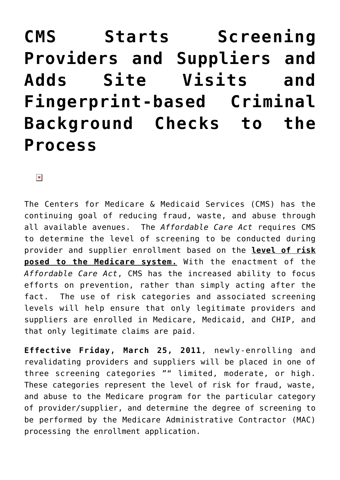# **[CMS Starts Screening](https://managemypractice.com/cms-starts-screening-providers-and-suppliers-and-adds-site-visits-and-fingerprint-based-criminal-background-checks-to-the-process/) [Providers and Suppliers and](https://managemypractice.com/cms-starts-screening-providers-and-suppliers-and-adds-site-visits-and-fingerprint-based-criminal-background-checks-to-the-process/) [Adds Site Visits and](https://managemypractice.com/cms-starts-screening-providers-and-suppliers-and-adds-site-visits-and-fingerprint-based-criminal-background-checks-to-the-process/) [Fingerprint-based Criminal](https://managemypractice.com/cms-starts-screening-providers-and-suppliers-and-adds-site-visits-and-fingerprint-based-criminal-background-checks-to-the-process/) [Background Checks to the](https://managemypractice.com/cms-starts-screening-providers-and-suppliers-and-adds-site-visits-and-fingerprint-based-criminal-background-checks-to-the-process/) [Process](https://managemypractice.com/cms-starts-screening-providers-and-suppliers-and-adds-site-visits-and-fingerprint-based-criminal-background-checks-to-the-process/)**

 $\pmb{\times}$ 

The Centers for Medicare & Medicaid Services (CMS) has the continuing goal of reducing fraud, waste, and abuse through all available avenues. The *Affordable Care Act* requires CMS to determine the level of screening to be conducted during provider and supplier enrollment based on the **level of risk posed to the Medicare system.** With the enactment of the *Affordable Care Act*, CMS has the increased ability to focus efforts on prevention, rather than simply acting after the fact. The use of risk categories and associated screening levels will help ensure that only legitimate providers and suppliers are enrolled in Medicare, Medicaid, and CHIP, and that only legitimate claims are paid.

**Effective Friday, March 25, 2011**, newly-enrolling and revalidating providers and suppliers will be placed in one of three screening categories "" limited, moderate, or high. These categories represent the level of risk for fraud, waste, and abuse to the Medicare program for the particular category of provider/supplier, and determine the degree of screening to be performed by the Medicare Administrative Contractor (MAC) processing the enrollment application.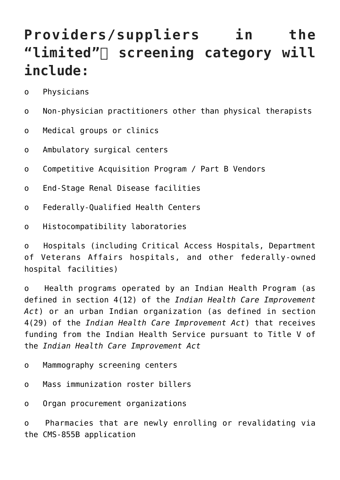#### **Providers/suppliers in the** "limited" Screening category will **include:**

- o Physicians
- o Non-physician practitioners other than physical therapists
- o Medical groups or clinics
- o Ambulatory surgical centers
- o Competitive Acquisition Program / Part B Vendors
- o End-Stage Renal Disease facilities
- o Federally-Qualified Health Centers
- o Histocompatibility laboratories

o Hospitals (including Critical Access Hospitals, Department of Veterans Affairs hospitals, and other federally-owned hospital facilities)

o Health programs operated by an Indian Health Program (as defined in section 4(12) of the *Indian Health Care Improvement Act*) or an urban Indian organization (as defined in section 4(29) of the *Indian Health Care Improvement Act*) that receives funding from the Indian Health Service pursuant to Title V of the *Indian Health Care Improvement Act*

- o Mammography screening centers
- o Mass immunization roster billers
- o Organ procurement organizations

o Pharmacies that are newly enrolling or revalidating via the CMS-855B application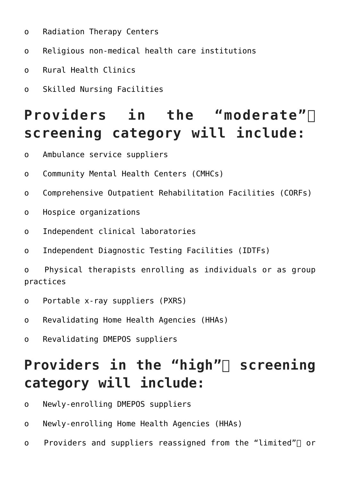- o Radiation Therapy Centers
- o Religious non-medical health care institutions
- o Rural Health Clinics
- o Skilled Nursing Facilities

## **Providers in the "moderate" screening category will include:**

- o Ambulance service suppliers
- o Community Mental Health Centers (CMHCs)
- o Comprehensive Outpatient Rehabilitation Facilities (CORFs)
- o Hospice organizations
- o Independent clinical laboratories
- o Independent Diagnostic Testing Facilities (IDTFs)

o Physical therapists enrolling as individuals or as group practices

- o Portable x-ray suppliers (PXRS)
- o Revalidating Home Health Agencies (HHAs)
- o Revalidating DMEPOS suppliers

### Providers in the "high" screening **category will include:**

- o Newly-enrolling DMEPOS suppliers
- o Newly-enrolling Home Health Agencies (HHAs)
- o Providers and suppliers reassigned from the "limited" $\sqcap$  or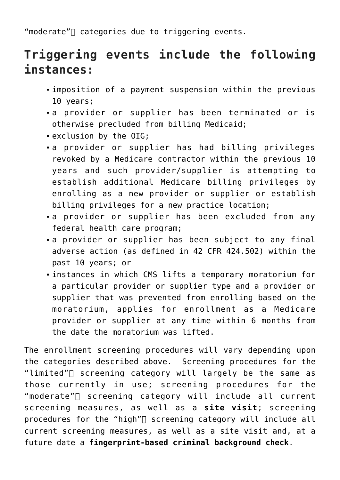"moderate" $\sqcap$  categories due to triggering events.

#### **Triggering events include the following instances:**

- imposition of a payment suspension within the previous 10 years;
- a provider or supplier has been terminated or is otherwise precluded from billing Medicaid;
- exclusion by the OIG;
- a provider or supplier has had billing privileges revoked by a Medicare contractor within the previous 10 years and such provider/supplier is attempting to establish additional Medicare billing privileges by enrolling as a new provider or supplier or establish billing privileges for a new practice location;
- a provider or supplier has been excluded from any federal health care program;
- a provider or supplier has been subject to any final adverse action (as defined in 42 CFR 424.502) within the past 10 years; or
- instances in which CMS lifts a temporary moratorium for a particular provider or supplier type and a provider or supplier that was prevented from enrolling based on the moratorium, applies for enrollment as a Medicare provider or supplier at any time within 6 months from the date the moratorium was lifted.

The enrollment screening procedures will vary depending upon the categories described above. Screening procedures for the "limited" $\sqcap$  screening category will largely be the same as those currently in use; screening procedures for the "moderate" $\sqcap$  screening category will include all current screening measures, as well as a **site visit**; screening procedures for the "high" $\sqcap$  screening category will include all current screening measures, as well as a site visit and, at a future date a **fingerprint-based criminal background check**.